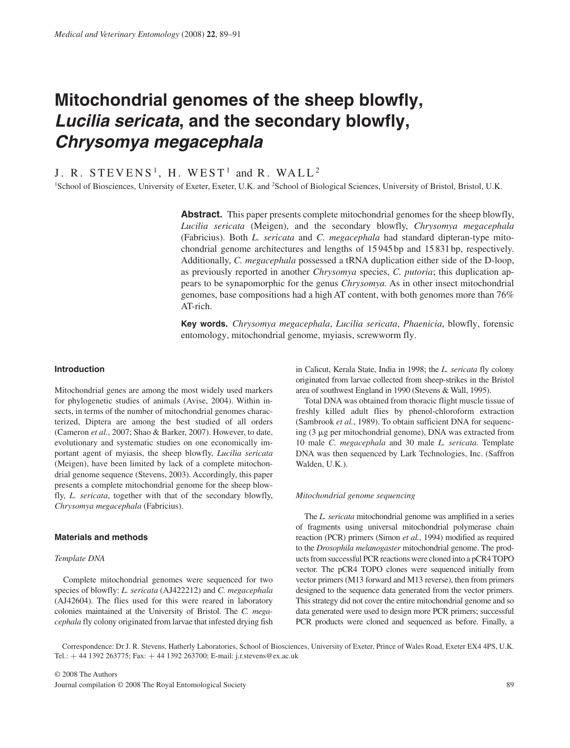## **Mitochondrial genomes of the sheep blowfly,**  Lucilia sericata, and the secondary blowfly, *Chrysomya megacephala*

# J. R. STEVENS<sup>1</sup>, H. WEST<sup>1</sup> and R. WALL<sup>2</sup><br><sup>1</sup>School of Biosciences University of Exeter Exeter U.K. and <sup>2</sup>School of Bio

School of Biosciences, University of Exeter, Exeter, U.K. and <sup>2</sup>School of Biological Sciences, University of Bristol, Bristol, U.K.

Abstract. This paper presents complete mitochondrial genomes for the sheep blowfly, *Lucilia sericata* (Meigen), and the secondary blowfly, *Chrysomya megacephala* (Fabricius). Both *L. sericata* and *C. megacephala* had standard dipteran-type mitochondrial genome architectures and lengths of 15 945 bp and 15 831 bp, respectively. Additionally, *C. megacephala* possessed a tRNA duplication either side of the D-loop, as previously reported in another *Chrysomya* species, *C. putoria*; this duplication appears to be synapomorphic for the genus *Chrysomya.* As in other insect mitochondrial genomes, base compositions had a high AT content, with both genomes more than 76% AT-rich.

**Key words .** *Chrysomya megacephala*, *Lucilia sericata*, *Phaenicia*, blowfly, forensic entomology, mitochondrial genome, myiasis, screwworm fly.

## **Introduction**

 Mitochondrial genes are among the most widely used markers for phylogenetic studies of animals (Avise, 2004). Within insects, in terms of the number of mitochondrial genomes characterized, Diptera are among the best studied of all orders (Cameron et al., 2007; Shao & Barker, 2007). However, to date, evolutionary and systematic studies on one economically important agent of myiasis, the sheep blowfly, *Lucilia sericata* (Meigen), have been limited by lack of a complete mitochondrial genome sequence (Stevens, 2003). Accordingly, this paper presents a complete mitochondrial genome for the sheep blowfly, *L. sericata*, together with that of the secondary blowfly, *Chrysomya megacephala* (Fabricius).

## **Materials and methods**

### *Template DNA*

 Complete mitochondrial genomes were sequenced for two species of blowfly: *L. sericata* (AJ422212) and *C. megacephala* (AJ42604). The flies used for this were reared in laboratory colonies maintained at the University of Bristol. The *C. megacephala* fly colony originated from larvae that infested drying fish in Calicut, Kerala State, India in 1998; the *L. sericata* fly colony originated from larvae collected from sheep-strikes in the Bristol area of southwest England in 1990 (Stevens & Wall, 1995).

 Total DNA was obtained from thoracic flight muscle tissue of freshly killed adult flies by phenol-chloroform extraction (Sambrook et al., 1989). To obtain sufficient DNA for sequencing  $(3 \mu g)$  per mitochondrial genome), DNA was extracted from 10 male *C. megacephala* and 30 male *L. sericata* . Template DNA was then sequenced by Lark Technologies, Inc. (Saffron Walden, U.K.).

#### *Mitochondrial genome sequencing*

 The *L. sericata* mitochondrial genome was amplified in a series of fragments using universal mitochondrial polymerase chain reaction (PCR) primers (Simon *et al.*, 1994) modified as required to the *Drosophila melanogaster* mitochondrial genome. The products from successful PCR reactions were cloned into a pCR4 TOPO vector. The pCR4 TOPO clones were sequenced initially from vector primers (M13 forward and M13 reverse), then from primers designed to the sequence data generated from the vector primers. This strategy did not cover the entire mitochondrial genome and so data generated were used to design more PCR primers; successful PCR products were cloned and sequenced as before. Finally, a

 Correspondence: Dr J. R. Stevens, Hatherly Laboratories, School of Biosciences, University of Exeter, Prince of Wales Road, Exeter EX4 4PS, U.K. Tel.: + 44 1392 263775; Fax: + 44 1392 263700; E-mail: j.r.stevens@ex.ac.uk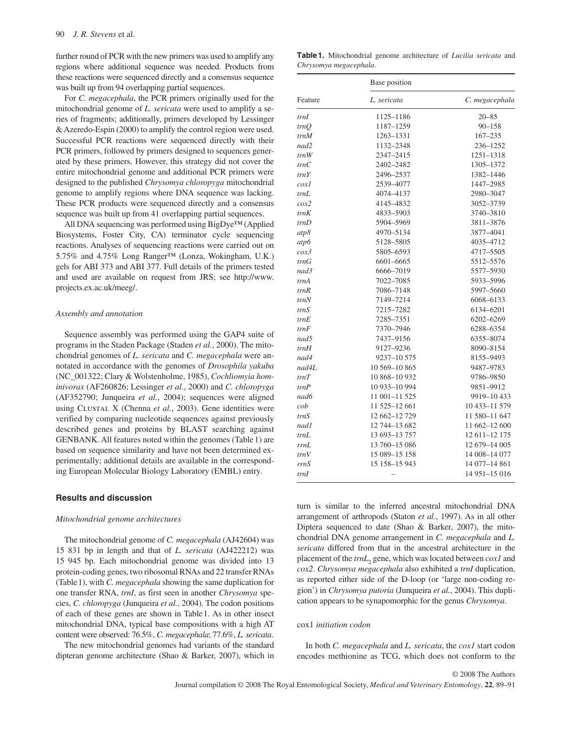further round of PCR with the new primers was used to amplify any regions where additional sequence was needed. Products from these reactions were sequenced directly and a consensus sequence was built up from 94 overlapping partial sequences.

For *C. megacephala*, the PCR primers originally used for the mitochondrial genome of *L. sericata* were used to amplify a series of fragments; additionally, primers developed by Lessinger & Azeredo-Espin (2000) to amplify the control region were used. Successful PCR reactions were sequenced directly with their PCR primers, followed by primers designed to sequences generated by these primers. However, this strategy did not cover the entire mitochondrial genome and additional PCR primers were designed to the published *Chrysomya chloropyga* mitochondrial genome to amplify regions where DNA sequence was lacking. These PCR products were sequenced directly and a consensus sequence was built up from 41 overlapping partial sequences.

All DNA sequencing was performed using BigDye™ (Applied Biosystems, Foster City, CA) terminator cycle sequencing reactions. Analyses of sequencing reactions were carried out on 5.75% and 4.75% Long Ranger<sup>™</sup> (Lonza, Wokingham, U.K.) gels for ABI 373 and ABI 377. Full details of the primers tested and used are available on request from JRS; see http://www. projects.ex.ac.uk/meeg/ .

#### *Assembly and annotation*

 Sequence assembly was performed using the GAP4 suite of programs in the Staden Package (Staden et al., 2000). The mitochondrial genomes of *L. sericata* and *C. megacephala* were annotated in accordance with the genomes of *Drosophila yakuba* (NC\_001322; Clary & Wolstenholme, 1985 ), *Cochliomyia hominivorax* (AF260826; Lessinger et al., 2000) and *C. chloropyga* (AF352790; Junqueira *et al.*, 2004); sequences were aligned using CLUSTAL X (Chenna et al., 2003). Gene identities were verified by comparing nucleotide sequences against previously described genes and proteins by BLAST searching against GENBANK. All features noted within the genomes (Table 1) are based on sequence similarity and have not been determined experimentally; additional details are available in the corresponding European Molecular Biology Laboratory (EMBL) entry.

#### **Results and discussion**

#### *Mitochondrial genome architectures*

 The mitochondrial genome of *C. megacephala* (AJ42604) was 15 831 bp in length and that of *L. sericata* (AJ422212) was 15 945 bp. Each mitochondrial genome was divided into 13 protein-coding genes, two ribosomal RNAs and 22 transfer RNAs (Table 1), with *C. megacephala* showing the same duplication for one transfer RNA, *trnI* , as first seen in another *Chrysomya* species, *C. chloropyga* ( Junqueira *et al.* , 2004 ). The codon positions of each of these genes are shown in Table 1 . As in other insect mitochondrial DNA, typical base compositions with a high AT content were observed: 76.5%, *C. megacephala* ; 77.6%, *L. sericata* .

 The new mitochondrial genomes had variants of the standard dipteran genome architecture (Shao & Barker, 2007), which in

**Table 1.** Mitochondrial genome architecture of *Lucilia sericata* and *Chrysomya megacephala* .

| Feature        | Base position |                 |
|----------------|---------------|-----------------|
|                | L. sericata   | C. megacephala  |
| trnI           | 1125-1186     | $20 - 85$       |
| $\mathop{tmO}$ | 1187-1259     | $90 - 158$      |
| trnM           | 1263-1331     | $167 - 235$     |
| nad2           | 1132-2348     | 236-1252        |
| trnW           | 2347-2415     | 1251-1318       |
| trnC           | 2402-2482     | 1305-1372       |
| trnY           | 2496-2537     | 1382-1446       |
| $\cos l$       | 2539-4077     | 1447-2985       |
| trnL           | 4074-4137     | 2980-3047       |
| $\cos 2$       | 4145-4832     | 3052-3739       |
| trnK           | 4833-5903     | 3740-3810       |
| trnD           | 5904-5969     | 3811-3876       |
| atp8           | 4970-5134     | 3877-4041       |
| atp6           | 5128-5805     | 4035-4712       |
| $\cos^3$       | 5805-6593     | 4717-5505       |
| trnG           | 6601-6665     | 5512-5576       |
| nad3           | 6666-7019     | 5577-5930       |
| trnA           | 7022-7085     | 5933-5996       |
| trnR           | 7086-7148     | 5997-5660       |
| trnN           | 7149-7214     | 6068-6133       |
| trnS           | 7215-7282     | 6134-6201       |
| tmE            | 7285-7351     | 6202-6269       |
| trnF           | 7370-7946     | 6288-6354       |
| nad5           | 7437-9156     | 6355-8074       |
| trnH           | 9127-9236     | 8090-8154       |
| nad4           | 9237-10 575   | 8155-9493       |
| nad4L          | 10 569-10 865 | 9487-9783       |
| trnT           | 10 868-10 932 | 9786-9850       |
| trnP           | 10 933-10 994 | 9851-9912       |
| nad6           | 11 001-11 525 | 9919-10433      |
| cob            | 11 525-12 661 | 10 433-11 579   |
| trnS           | 12 662-12 729 | 11 580-11 647   |
| nad1           | 12 744-13 682 | 11 662-12 600   |
| trnL           | 13 693-13 757 | 12 611 - 12 175 |
| rrnL           | 13 760-15 086 | 12 679-14 005   |
| trnV           | 15 089-15 158 | 14 008-14 077   |
| rrnS           | 15 158-15 943 | 14 077-14 861   |
| trnI           |               | 14 951-15 016   |

turn is similar to the inferred ancestral mitochondrial DNA arrangement of arthropods (Staton *et al.*, 1997). As in all other Diptera sequenced to date (Shao & Barker, 2007), the mitochondrial DNA genome arrangement in *C. megacephala* and *L. sericata* differed from that in the ancestral architecture in the placement of the  $trnL_2$  gene, which was located between  $\cos l$  and *cox2* . *Chrysomya megacephala* also exhibited a *trnI* duplication, as reported either side of the D-loop (or 'large non-coding region') in *Chrysomya putoria* (Junqueira et al., 2004). This duplication appears to be synapomorphic for the genus *Chrysomya* .

## cox1 *initiation codon*

 In both *C. megacephala* and *L. sericata* , the *cox1* start codon encodes methionine as TCG, which does not conform to the